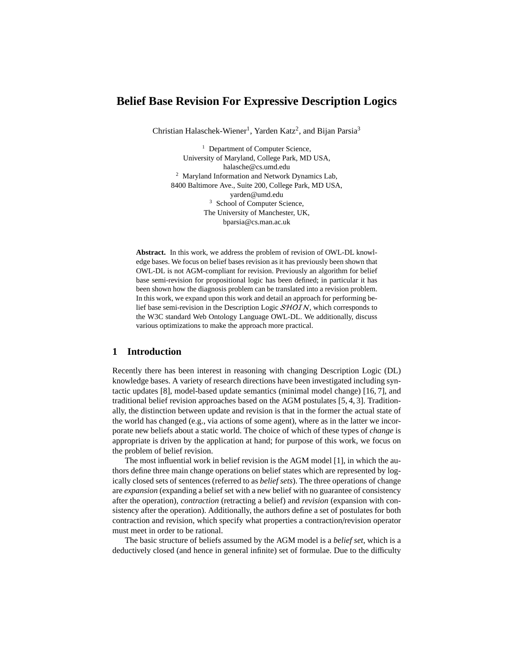# **Belief Base Revision For Expressive Description Logics**

Christian Halaschek-Wiener<sup>1</sup>, Yarden Katz<sup>2</sup>, and Bijan Parsia<sup>3</sup>

<sup>1</sup> Department of Computer Science, University of Maryland, College Park, MD USA, halasche@cs.umd.edu <sup>2</sup> Maryland Information and Network Dynamics Lab, 8400 Baltimore Ave., Suite 200, College Park, MD USA, yarden@umd.edu <sup>3</sup> School of Computer Science, The University of Manchester, UK, bparsia@cs.man.ac.uk

**Abstract.** In this work, we address the problem of revision of OWL-DL knowledge bases. We focus on belief bases revision as it has previously been shown that OWL-DL is not AGM-compliant for revision. Previously an algorithm for belief base semi-revision for propositional logic has been defined; in particular it has been shown how the diagnosis problem can be translated into a revision problem. In this work, we expand upon this work and detail an approach for performing belief base semi-revision in the Description Logic SHOIN, which corresponds to the W3C standard Web Ontology Language OWL-DL. We additionally, discuss various optimizations to make the approach more practical.

# **1 Introduction**

Recently there has been interest in reasoning with changing Description Logic (DL) knowledge bases. A variety of research directions have been investigated including syntactic updates [8], model-based update semantics (minimal model change) [16, 7], and traditional belief revision approaches based on the AGM postulates [5, 4, 3]. Traditionally, the distinction between update and revision is that in the former the actual state of the world has changed (e.g., via actions of some agent), where as in the latter we incorporate new beliefs about a static world. The choice of which of these types of *change* is appropriate is driven by the application at hand; for purpose of this work, we focus on the problem of belief revision.

The most influential work in belief revision is the AGM model [1], in which the authors define three main change operations on belief states which are represented by logically closed sets of sentences (referred to as *belief sets*). The three operations of change are *expansion* (expanding a belief set with a new belief with no guarantee of consistency after the operation), *contraction* (retracting a belief) and *revision* (expansion with consistency after the operation). Additionally, the authors define a set of postulates for both contraction and revision, which specify what properties a contraction/revision operator must meet in order to be rational.

The basic structure of beliefs assumed by the AGM model is a *belief set*, which is a deductively closed (and hence in general infinite) set of formulae. Due to the difficulty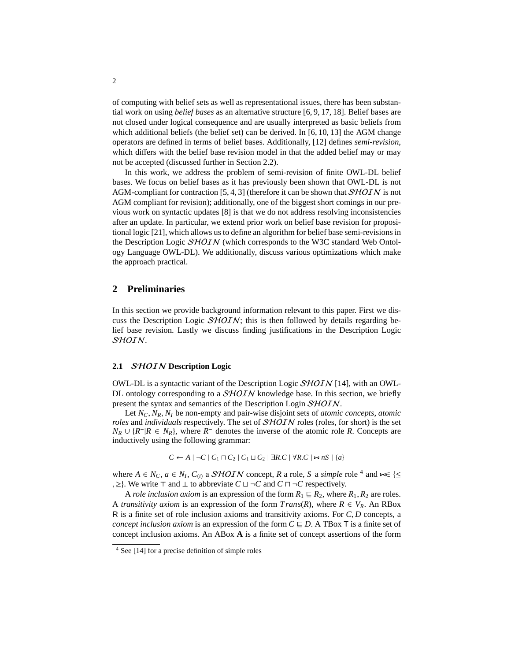of computing with belief sets as well as representational issues, there has been substantial work on using *belief bases* as an alternative structure [6, 9, 17, 18]. Belief bases are not closed under logical consequence and are usually interpreted as basic beliefs from which additional beliefs (the belief set) can be derived. In [6, 10, 13] the AGM change operators are defined in terms of belief bases. Additionally, [12] defines *semi-revision*, which differs with the belief base revision model in that the added belief may or may not be accepted (discussed further in Section 2.2).

In this work, we address the problem of semi-revision of finite OWL-DL belief bases. We focus on belief bases as it has previously been shown that OWL-DL is not AGM-compliant for contraction [5, 4, 3] (therefore it can be shown that  $\mathcal{SHOIN}$  is not AGM compliant for revision); additionally, one of the biggest short comings in our previous work on syntactic updates [8] is that we do not address resolving inconsistencies after an update. In particular, we extend prior work on belief base revision for propositional logic [21], which allows us to define an algorithm for belief base semi-revisions in the Description Logic SHOIN (which corresponds to the W3C standard Web Ontology Language OWL-DL). We additionally, discuss various optimizations which make the approach practical.

# **2 Preliminaries**

In this section we provide background information relevant to this paper. First we discuss the Description Logic  $SHOIN$ ; this is then followed by details regarding belief base revision. Lastly we discuss finding justifications in the Description Logic SHOIN.

#### **2.1** SHOIN **Description Logic**

OWL-DL is a syntactic variant of the Description Logic  $\mathcal{SHOIN}$  [14], with an OWL-DL ontology corresponding to a  $SHOIN$  knowledge base. In this section, we briefly present the syntax and semantics of the Description Login SHOIN.

Let *<sup>N</sup><sup>C</sup>*, *<sup>N</sup><sup>R</sup>*, *<sup>N</sup><sup>I</sup>* be non-empty and pair-wise disjoint sets of *atomic concepts*, *atomic roles* and *individuals* respectively. The set of *SHOIN* roles (roles, for short) is the set  $N_R$  ∪  $\{R^- | R \in N_R\}$ , where  $R^-$  denotes the inverse of the atomic role *R*. Concepts are inductively using the following grammar:

$$
C \leftarrow A \mid \neg C \mid C_1 \sqcap C_2 \mid C_1 \sqcup C_2 \mid \exists R.C \mid \forall R.C \mid \neg R.S \mid \{a\}
$$

where  $A \in N_C$ ,  $a \in N_I$ ,  $C_{(i)}$  a *SHOIN* concept, *R* a role, *S* a *simple* role <sup>4</sup> and  $\in$  { ≤ > }. We write  $\top$  and  $\top$  to abbreviate  $C \sqcup \neg C$  and  $C \sqcap \neg C$  respectively. , ≥}. We write  $\top$  and  $\bot$  to abbreviate  $C \sqcup \neg C$  and  $C \sqcap \neg C$  respectively.

A *role inclusion axiom* is an expression of the form  $R_1 \subseteq R_2$ , where  $R_1, R_2$  are roles. A *transitivity axiom* is an expression of the form  $Trans(R)$ , where  $R \in V_R$ . An RBox <sup>R</sup> is a finite set of role inclusion axioms and transitivity axioms. For *<sup>C</sup>*, *<sup>D</sup>* concepts, a *concept inclusion axiom* is an expression of the form  $C \sqsubseteq D$ . A TBox T is a finite set of concept inclusion axioms. An ABox **A** is a finite set of concept assertions of the form

<sup>4</sup> See [14] for a precise definition of simple roles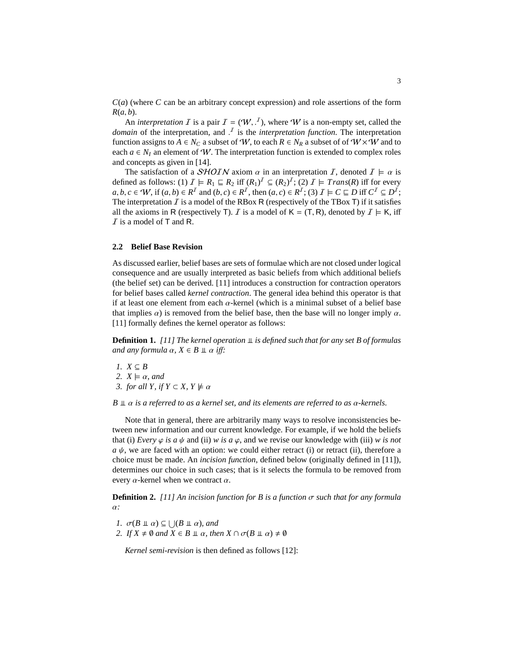*C*(*a*) (where *C* can be an arbitrary concept expression) and role assertions of the form *<sup>R</sup>*(*a*, *<sup>b</sup>*).

An *interpretation*  $\overline{I}$  is a pair  $\overline{I} = (\mathcal{W}, \overline{I})$ , where  $\mathcal{W}$  is a non-empty set, called the *interpretation* and  $\overline{I}$  is the *interpretation* function. The interpretation *domain* of the interpretation, and  $\overline{J}$  is the *interpretation function*. The interpretation function assigns to  $A \in N_{\alpha}$  a subset of  $\mathcal{W}$  to each  $B \in N_{\alpha}$  a subset of  $\mathcal{W} \times \mathcal{W}$  and to function assigns to  $A \in N_C$  a subset of W, to each  $R \in N_R$  a subset of of  $W \times W$  and to each  $a \in N_I$  an element of W. The interpretation function is extended to complex roles and concepts as given in [14].

The satisfaction of a  $\mathcal{SHOIN}$  axiom  $\alpha$  in an interpretation  $\mathcal{I}$ , denoted  $\mathcal{I} \models \alpha$  is defined as follows: (1)  $\mathcal{I} \models R_1 \sqsubseteq R_2$  iff  $(R_1)^{\mathcal{I}} \subseteq (R_2)^{\mathcal{I}}$ ; (2)  $\mathcal{I} \models Trans(R)$  iff for every  $a, b, c \in W$ , if  $(a, b) \in R^I$  and  $(b, c) \in R^I$ , then  $(a, c) \in R^I$ ; (3)  $I \models C \sqsubseteq D$  iff  $C^I \subseteq D^I$ ;<br>The interpretation *I* is a model of the RBox **R** (respectively of the TBox **T**) if it satisfies The interpretation  $\overline{I}$  is a model of the RBox R (respectively of the TBox T) if it satisfies all the axioms in R (respectively T). I is a model of  $K = (T, R)$ , denoted by  $I \models K$ , iff  $I$  is a model of T and R.

### **2.2 Belief Base Revision**

As discussed earlier, belief bases are sets of formulae which are not closed under logical consequence and are usually interpreted as basic beliefs from which additional beliefs (the belief set) can be derived. [11] introduces a construction for contraction operators for belief bases called *kernel contraction*. The general idea behind this operator is that if at least one element from each  $\alpha$ -kernel (which is a minimal subset of a belief base that implies  $\alpha$ ) is removed from the belief base, then the base will no longer imply  $\alpha$ . [11] formally defines the kernel operator as follows:

**Definition 1.** [11] The kernel operation  $\mathbf{\perp}$  is defined such that for any set B of formulas *and any formula*  $\alpha$ ,  $X \in B \perp \alpha$  *iff:* 

*1.*  $X ⊆ B$ *2.*  $X \models \alpha$ *, and 3. for all Y, if Y*  $\subset X$ ,  $Y \not\models \alpha$ 

 $B \perp \!\!\!\perp \alpha$  *is a referred to as a kernel set, and its elements are referred to as*  $\alpha$ *-kernels.* 

Note that in general, there are arbitrarily many ways to resolve inconsistencies between new information and our current knowledge. For example, if we hold the beliefs that (i) *Every*  $\varphi$  *is a*  $\psi$  and (ii) *w is a*  $\varphi$ , and we revise our knowledge with (iii) *w is not*  $a \psi$ , we are faced with an option: we could either retract (i) or retract (ii), therefore a choice must be made. An *incision function*, defined below (originally defined in [11]), determines our choice in such cases; that is it selects the formula to be removed from every  $\alpha$ -kernel when we contract  $\alpha$ .

**Definition 2.** *[11] An incision function for B is a function* σ *such that for any formula* α*:*

- *1.*  $\sigma(B \perp\!\!\!\perp \alpha) \subseteq \bigcup (B \perp\!\!\!\perp \alpha)$ , and<br>2. If  $Y \neq \emptyset$  and  $Y \in B \perp \alpha$ , the
- *2. If*  $X \neq \emptyset$  *and*  $X \in B \perp \alpha$ *, then*  $X \cap \sigma(B \perp \alpha) \neq \emptyset$

*Kernel semi-revision* is then defined as follows [12]: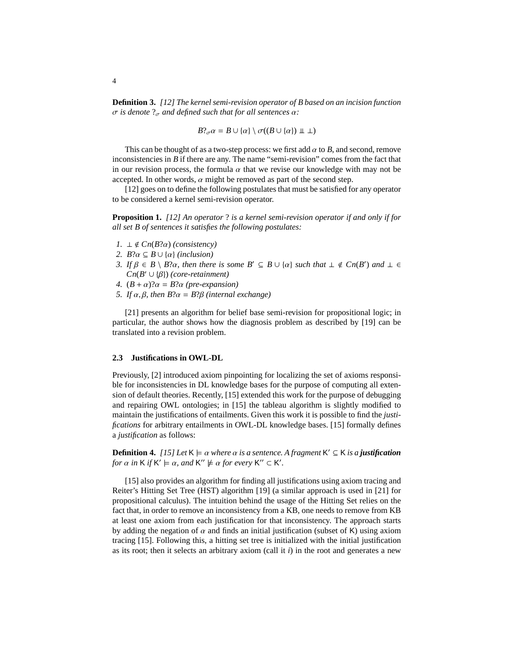**Definition 3.** *[12] The kernel semi-revision operator of B based on an incision function* σ *is denote*  $?$ <sub>σ</sub> *and defined such that for all sentences*  $α$ *:* 

$$
B?_{\sigma}\alpha = B \cup \{\alpha\} \setminus \sigma((B \cup \{\alpha\}) \perp \perp)
$$

This can be thought of as a two-step process: we first add α to *<sup>B</sup>*, and second, remove inconsistencies in *B* if there are any. The name "semi-revision" comes from the fact that in our revision process, the formula  $\alpha$  that we revise our knowledge with may not be accepted. In other words,  $\alpha$  might be removed as part of the second step.

[12] goes on to define the following postulates that must be satisfied for any operator to be considered a kernel semi-revision operator.

**Proposition 1.** *[12] An operator* ? *is a kernel semi-revision operator if and only if for all set B of sentences it satisfies the following postulates:*

- *1.* ⊥ ∉  $Cn(B?α)$  *(consistency)*
- 2.  $B$ ? $\alpha \subseteq B \cup {\alpha}$  *(inclusion)*
- *3. If*  $\beta \in B \setminus B$ ?α*, then there is some*  $B' \subseteq B \cup \{\alpha\}$  *such that*  $\bot \notin Cn(B')$  *and*  $\bot \in Cn(B' \cup \{B\})$  (corg-retainment)  $Cn(B' \cup {\beta})$  *(core-retainment)*<br>  $(B + \alpha)2\alpha = B2\alpha$  (pre-expansi-
- *4.*  $(B + \alpha)?\alpha = B?\alpha$  *(pre-expansion)*
- *5. If* α, β*, then B*?α <sup>=</sup> *<sup>B</sup>*?β *(internal exchange)*

[21] presents an algorithm for belief base semi-revision for propositional logic; in particular, the author shows how the diagnosis problem as described by [19] can be translated into a revision problem.

# **2.3 Justifications in OWL-DL**

Previously, [2] introduced axiom pinpointing for localizing the set of axioms responsible for inconsistencies in DL knowledge bases for the purpose of computing all extension of default theories. Recently, [15] extended this work for the purpose of debugging and repairing OWL ontologies; in [15] the tableau algorithm is slightly modified to maintain the justifications of entailments. Given this work it is possible to find the *justifications* for arbitrary entailments in OWL-DL knowledge bases. [15] formally defines a *justification* as follows:

**Definition 4.** *[15] Let*  $K \models \alpha$  *where*  $\alpha$  *is a sentence. A fragment*  $K' \subseteq K$  *is a justification* for  $\alpha$  *in*  $K$  *if*  $K' \models \alpha$  and  $K'' \models \alpha$  for every  $K'' \subseteq K'$ . for  $\alpha$  in **K** if **K'**  $\models \alpha$ , and **K''**  $\not\models \alpha$  for every **K''**  $\subset$  **K'**.

[15] also provides an algorithm for finding all justifications using axiom tracing and Reiter's Hitting Set Tree (HST) algorithm [19] (a similar approach is used in [21] for propositional calculus). The intuition behind the usage of the Hitting Set relies on the fact that, in order to remove an inconsistency from a KB, one needs to remove from KB at least one axiom from each justification for that inconsistency. The approach starts by adding the negation of  $\alpha$  and finds an initial justification (subset of K) using axiom tracing [15]. Following this, a hitting set tree is initialized with the initial justification as its root; then it selects an arbitrary axiom (call it *i*) in the root and generates a new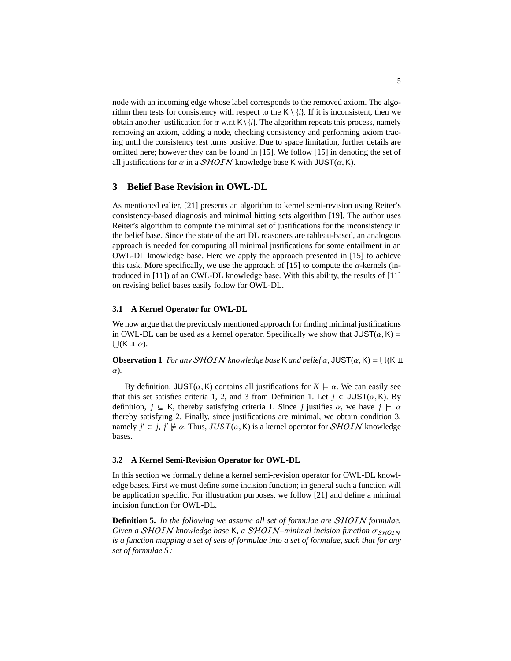node with an incoming edge whose label corresponds to the removed axiom. The algorithm then tests for consistency with respect to the  $K \setminus \{i\}$ . If it is inconsistent, then we obtain another justification for  $\alpha$  w.r.t  $K \setminus \{i\}$ . The algorithm repeats this process, namely removing an axiom, adding a node, checking consistency and performing axiom tracing until the consistency test turns positive. Due to space limitation, further details are omitted here; however they can be found in [15]. We follow [15] in denoting the set of all justifications for  $\alpha$  in a *SHOIN* knowledge base K with JUST( $\alpha$ , K).

# **3 Belief Base Revision in OWL-DL**

As mentioned ealier, [21] presents an algorithm to kernel semi-revision using Reiter's consistency-based diagnosis and minimal hitting sets algorithm [19]. The author uses Reiter's algorithm to compute the minimal set of justifications for the inconsistency in the belief base. Since the state of the art DL reasoners are tableau-based, an analogous approach is needed for computing all minimal justifications for some entailment in an OWL-DL knowledge base. Here we apply the approach presented in [15] to achieve this task. More specifically, we use the approach of [15] to compute the  $\alpha$ -kernels (introduced in [11]) of an OWL-DL knowledge base. With this ability, the results of [11] on revising belief bases easily follow for OWL-DL.

#### **3.1 A Kernel Operator for OWL-DL**

We now argue that the previously mentioned approach for finding minimal justifications in OWL-DL can be used as a kernel operator. Specifically we show that  $JUST(\alpha, K) =$  $\bigcup (K \perp \!\!\!\perp \alpha).$ 

**Observation 1** *For any SHOIN knowledge base* K *and belief*  $\alpha$ , JUST( $\alpha$ , K) =  $\bigcup$ (K  $\perp$ α)*.*

By definition,  $JUST(\alpha, K)$  contains all justifications for  $K \models \alpha$ . We can easily see that this set satisfies criteria 1, 2, and 3 from Definition 1. Let  $j \in$  JUST( $\alpha$ , K). By definition,  $j \subseteq K$ , thereby satisfying criteria 1. Since *j* justifies  $\alpha$ , we have  $j \models \alpha$ thereby satisfying 2. Finally, since justifications are minimal, we obtain condition 3, namely  $j' \subset j$ ,  $j' \not\models \alpha$ . Thus,  $JUST(\alpha, K)$  is a kernel operator for *SHOIN* knowledge hases bases.

#### **3.2 A Kernel Semi-Revision Operator for OWL-DL**

In this section we formally define a kernel semi-revision operator for OWL-DL knowledge bases. First we must define some incision function; in general such a function will be application specific. For illustration purposes, we follow [21] and define a minimal incision function for OWL-DL.

**Definition 5.** *In the following we assume all set of formulae are* SHOIN *formulae. Given a SHOIN knowledge base* K, *a SHOIN–minimal incision function* σ<sub>SHOIN</sub> *is a function mapping a set of sets of formulae into a set of formulae, such that for any set of formulae S :*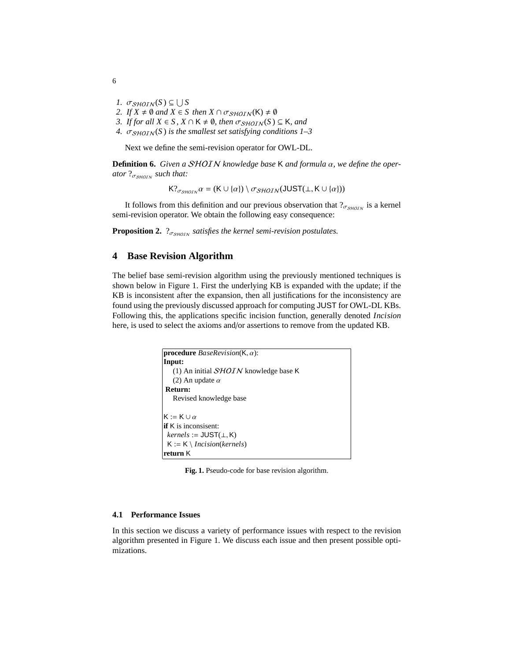- *1.*  $\sigma_{\text{SHOIN}}(S) \subseteq \bigcup S$ <br>2. If  $X \neq \emptyset$  and  $X \in S$
- *2. If*  $X \neq \emptyset$  *and*  $X \in S$  *then*  $X \cap \sigma_{\text{SHOLN}}(K) \neq \emptyset$
- *3. If for all*  $X \in S$ ,  $X \cap K \neq \emptyset$ , then  $\sigma_{\text{SHOIN}}(S) \subseteq K$ , and
- 4.  $\sigma_{\text{SHOIN}}(S)$  *is the smallest set satisfying conditions 1–3*

Next we define the semi-revision operator for OWL-DL.

**Definition 6.** *Given a* SHOIN *knowledge base* <sup>K</sup> *and formula* α*, we define the operator* ?<sub>σ<sub>SHOIN</sub> such that:</sub>

 $K?_{\sigma s\mu\sigma\tau\kappa}\alpha = (K \cup \{\alpha\}) \setminus \sigma_{\mathcal{SHOIN}}(\mathsf{JUST}(\bot, K \cup \{\alpha\}))$ 

It follows from this definition and our previous observation that  $?_{\sigma_{\text{SHOIN}}}$  is a kernel semi-revision operator. We obtain the following easy consequence:

**Proposition 2.**  $\gamma_{\sigma_{SHOIN}}$  *satisfies the kernel semi-revision postulates.* 

# **4 Base Revision Algorithm**

The belief base semi-revision algorithm using the previously mentioned techniques is shown below in Figure 1. First the underlying KB is expanded with the update; if the KB is inconsistent after the expansion, then all justifications for the inconsistency are found using the previously discussed approach for computing JUST for OWL-DL KBs. Following this, the applications specific incision function, generally denoted *Incision* here, is used to select the axioms and/or assertions to remove from the updated KB.



**Fig. 1.** Pseudo-code for base revision algorithm.

#### **4.1 Performance Issues**

In this section we discuss a variety of performance issues with respect to the revision algorithm presented in Figure 1. We discuss each issue and then present possible optimizations.

6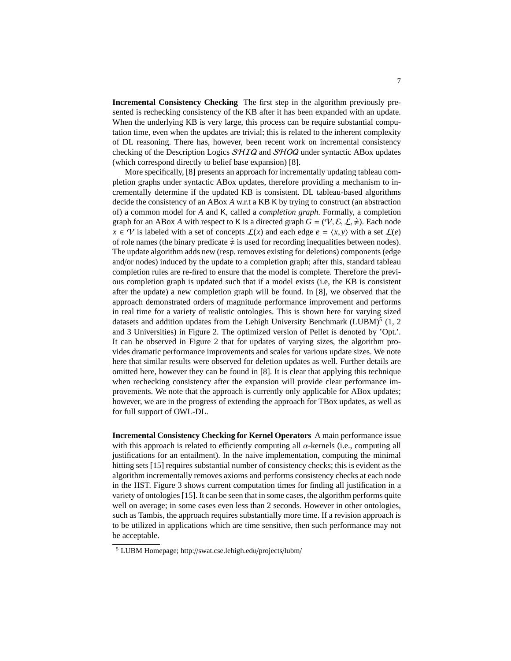**Incremental Consistency Checking** The first step in the algorithm previously presented is rechecking consistency of the KB after it has been expanded with an update. When the underlying KB is very large, this process can be require substantial computation time, even when the updates are trivial; this is related to the inherent complexity of DL reasoning. There has, however, been recent work on incremental consistency checking of the Description Logics SHIQ and SHOQ under syntactic ABox updates (which correspond directly to belief base expansion) [8].

More specifically, [8] presents an approach for incrementally updating tableau completion graphs under syntactic ABox updates, therefore providing a mechanism to incrementally determine if the updated KB is consistent. DL tableau-based algorithms decide the consistency of an ABox *A* w.r.t a KB K by trying to construct (an abstraction of) a common model for *A* and K, called a *completion graph*. Formally, a completion graph for an ABox *A* with respect to K is a directed graph  $G = (\mathcal{V}, \mathcal{E}, \mathcal{L}, \neq)$ . Each node  $x \in \mathcal{V}$  is labeled with a set of concepts  $\mathcal{L}(x)$  and each edge  $e = \langle x, y \rangle$  with a set  $\mathcal{L}(e)$ of role names (the binary predicate  $\neq$  is used for recording inequalities between nodes). The update algorithm adds new (resp. removes existing for deletions) components (edge and/or nodes) induced by the update to a completion graph; after this, standard tableau completion rules are re-fired to ensure that the model is complete. Therefore the previous completion graph is updated such that if a model exists (i.e, the KB is consistent after the update) a new completion graph will be found. In [8], we observed that the approach demonstrated orders of magnitude performance improvement and performs in real time for a variety of realistic ontologies. This is shown here for varying sized datasets and addition updates from the Lehigh University Benchmark (LUBM) $5$  (1, 2) and 3 Universities) in Figure 2. The optimized version of Pellet is denoted by 'Opt.'. It can be observed in Figure 2 that for updates of varying sizes, the algorithm provides dramatic performance improvements and scales for various update sizes. We note here that similar results were observed for deletion updates as well. Further details are omitted here, however they can be found in [8]. It is clear that applying this technique when rechecking consistency after the expansion will provide clear performance improvements. We note that the approach is currently only applicable for ABox updates; however, we are in the progress of extending the approach for TBox updates, as well as for full support of OWL-DL.

**Incremental Consistency Checking for Kernel Operators** A main performance issue with this approach is related to efficiently computing all  $\alpha$ -kernels (i.e., computing all justifications for an entailment). In the naive implementation, computing the minimal hitting sets [15] requires substantial number of consistency checks; this is evident as the algorithm incrementally removes axioms and performs consistency checks at each node in the HST. Figure 3 shows current computation times for finding all justification in a variety of ontologies [15]. It can be seen that in some cases, the algorithm performs quite well on average; in some cases even less than 2 seconds. However in other ontologies, such as Tambis, the approach requires substantially more time. If a revision approach is to be utilized in applications which are time sensitive, then such performance may not be acceptable.

<sup>5</sup> LUBM Homepage; http://swat.cse.lehigh.edu/projects/lubm/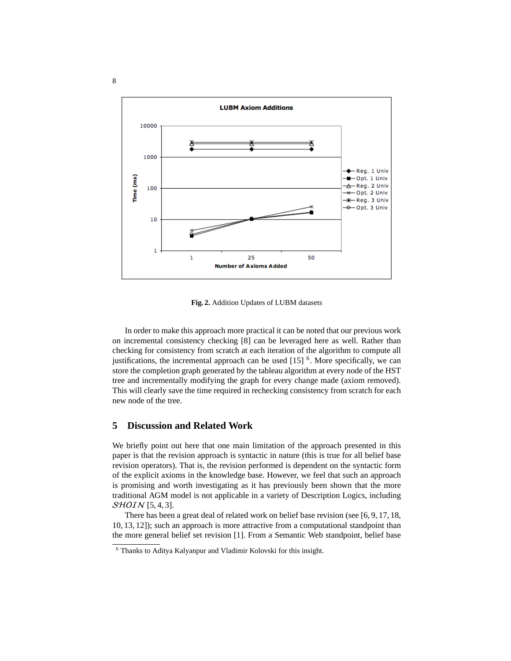

**Fig. 2.** Addition Updates of LUBM datasets

In order to make this approach more practical it can be noted that our previous work on incremental consistency checking [8] can be leveraged here as well. Rather than checking for consistency from scratch at each iteration of the algorithm to compute all justifications, the incremental approach can be used  $[15]$ <sup>6</sup>. More specifically, we can store the completion graph generated by the tableau algorithm at every node of the HST tree and incrementally modifying the graph for every change made (axiom removed). This will clearly save the time required in rechecking consistency from scratch for each new node of the tree.

# **5 Discussion and Related Work**

We briefly point out here that one main limitation of the approach presented in this paper is that the revision approach is syntactic in nature (this is true for all belief base revision operators). That is, the revision performed is dependent on the syntactic form of the explicit axioms in the knowledge base. However, we feel that such an approach is promising and worth investigating as it has previously been shown that the more traditional AGM model is not applicable in a variety of Description Logics, including SHOIN [5, 4, 3].

There has been a great deal of related work on belief base revision (see [6, 9, 17, 18, 10, 13, 12]); such an approach is more attractive from a computational standpoint than the more general belief set revision [1]. From a Semantic Web standpoint, belief base

<sup>6</sup> Thanks to Aditya Kalyanpur and Vladimir Kolovski for this insight.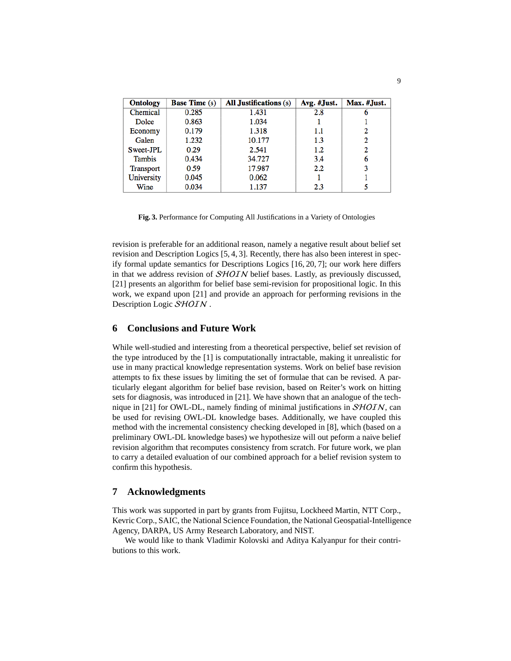| <b>Ontology</b> | <b>Base Time</b> (s) | <b>All Justifications</b> (s) | Avg. #Just. | Max. #Just. |
|-----------------|----------------------|-------------------------------|-------------|-------------|
| Chemical        | 0.285                | 1.431                         | 2.8         | 6           |
| Dolce           | 0.863                | 1.034                         |             |             |
| Economy         | 0.179                | 1.318                         | 1.1         | 2           |
| Galen           | 1.232                | 10.177                        | 1.3         | 2           |
| Sweet-JPL       | 0.29                 | 2.541                         | 1.2         | 2           |
| <b>Tambis</b>   | 0.434                | 34.727                        | 3.4         | 6           |
| Transport       | 0.59                 | 17.987                        | 2.2         | 3           |
| University      | 0.045                | 0.062                         |             |             |
| Wine            | 0.034                | 1.137                         | 2.3         |             |

**Fig. 3.** Performance for Computing All Justifications in a Variety of Ontologies

revision is preferable for an additional reason, namely a negative result about belief set revision and Description Logics [5, 4, 3]. Recently, there has also been interest in specify formal update semantics for Descriptions Logics [16, 20, 7]; our work here differs in that we address revision of SHOIN belief bases. Lastly, as previously discussed, [21] presents an algorithm for belief base semi-revision for propositional logic. In this work, we expand upon [21] and provide an approach for performing revisions in the Description Logic SHOIN.

# **6 Conclusions and Future Work**

While well-studied and interesting from a theoretical perspective, belief set revision of the type introduced by the [1] is computationally intractable, making it unrealistic for use in many practical knowledge representation systems. Work on belief base revision attempts to fix these issues by limiting the set of formulae that can be revised. A particularly elegant algorithm for belief base revision, based on Reiter's work on hitting sets for diagnosis, was introduced in [21]. We have shown that an analogue of the technique in  $[21]$  for OWL-DL, namely finding of minimal justifications in  $SHOIN$ , can be used for revising OWL-DL knowledge bases. Additionally, we have coupled this method with the incremental consistency checking developed in [8], which (based on a preliminary OWL-DL knowledge bases) we hypothesize will out peform a naive belief revision algorithm that recomputes consistency from scratch. For future work, we plan to carry a detailed evaluation of our combined approach for a belief revision system to confirm this hypothesis.

### **7 Acknowledgments**

This work was supported in part by grants from Fujitsu, Lockheed Martin, NTT Corp., Kevric Corp., SAIC, the National Science Foundation, the National Geospatial-Intelligence Agency, DARPA, US Army Research Laboratory, and NIST.

We would like to thank Vladimir Kolovski and Aditya Kalyanpur for their contributions to this work.